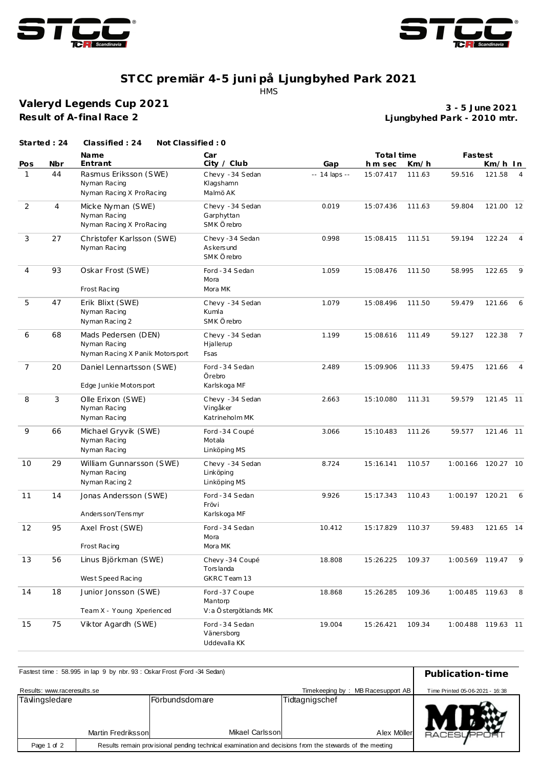



## **ST CC premiär 4-5 juni på Ljungbyhed Park 2021** HMS

**Valeryd Legends Cup 2021 Result of A-final Race 2**

**Ljungbyhed Park - 2010 mtr. 3 - 5 June 2021**

|              | Started: 24 | Classified: 24<br>Not Classified: 0                                    |                                                   |               |            |        |                    |           |                |
|--------------|-------------|------------------------------------------------------------------------|---------------------------------------------------|---------------|------------|--------|--------------------|-----------|----------------|
|              |             | <b>Name</b>                                                            | Car                                               |               | Total time |        | Fastest            |           |                |
| Pos          | Nbr         | Entrant                                                                | City / Club                                       | Gap           | h m sec    | Km/h   |                    | Km/h In   |                |
| $\mathbf{1}$ | 44          | Rasmus Eriksson (SWE)<br>Nyman Racing<br>Nyman Racing X ProRacing      | Chevy - 34 Sedan<br>Klagshamn<br>Malmö AK         | -- 14 laps -- | 15:07.417  | 111.63 | 59.516             | 121.58    | $\overline{4}$ |
| 2            | 4           | Micke Nyman (SWE)<br>Nyman Racing<br>Nyman Racing X ProRacing          | Chevy - 34 Sedan<br>Garphyttan<br>SMK Örebro      | 0.019         | 15:07.436  | 111.63 | 59.804             | 121.00 12 |                |
| 3            | 27          | Christofer Karlsson (SWE)<br>Nyman Racing                              | Chevy-34 Sedan<br>As kers und<br>SMK Örebro       | 0.998         | 15:08.415  | 111.51 | 59.194             | 122.24    | $\overline{4}$ |
| 4            | 93          | Oskar Frost (SWE)<br>Frost Racing                                      | Ford - 34 Sedan<br>Mora<br>Mora MK                | 1.059         | 15:08.476  | 111.50 | 58.995             | 122.65    | 9              |
| 5            | 47          | Erik Blixt (SWE)<br>Nyman Racing<br>Nyman Racing 2                     | Chevy - 34 Sedan<br>Kumla<br>SMK Örebro           | 1.079         | 15:08.496  | 111.50 | 59.479             | 121.66    | 6              |
| 6            | 68          | Mads Pedersen (DEN)<br>Nyman Racing<br>Nyman Racing X Panik Motorsport | Chevy - 34 Sedan<br>Hjallerup<br>Fsas             | 1.199         | 15:08.616  | 111.49 | 59.127             | 122.38    | $\overline{7}$ |
| 7            | 20          | Daniel Lennartsson (SWE)<br>Edge Junkie Motorsport                     | Ford - 34 Sedan<br>Örebro<br>Karlskoga MF         | 2.489         | 15:09.906  | 111.33 | 59.475             | 121.66    | $\overline{4}$ |
| 8            | 3           | Olle Erixon (SWE)<br>Nyman Racing<br>Nyman Racing                      | Chevy - 34 Sedan<br>Vingåker<br>Katrineholm MK    | 2.663         | 15:10.080  | 111.31 | 59.579             | 121.45 11 |                |
| 9            | 66          | Michael Gryvik (SWE)<br>Nyman Racing<br>Nyman Racing                   | Ford -34 Coupé<br>Motala<br>Linköping MS          | 3.066         | 15:10.483  | 111.26 | 59.577             | 121.46 11 |                |
| 10           | 29          | William Gunnarsson (SWE)<br>Nyman Racing<br>Nyman Racing 2             | Chevy - 34 Sedan<br>Linköping<br>Linköping MS     | 8.724         | 15:16.141  | 110.57 | 1:00.166 120.27 10 |           |                |
| 11           | 14          | Jonas Andersson (SWE)<br>Anders son/Tens myr                           | Ford - 34 Sedan<br>Frövi<br>Karlskoga MF          | 9.926         | 15:17.343  | 110.43 | 1:00.197 120.21    |           | 6              |
| 12           | 95          | Axel Frost (SWE)<br>Frost Racing                                       | Ford - 34 Sedan<br>Mora<br>Mora MK                | 10.412        | 15:17.829  | 110.37 | 59.483             | 121.65 14 |                |
| 13           | 56          | Linus Björkman (SWE)<br>West Speed Racing                              | Chevy -34 Coupé<br>Torslanda<br>GKRC Team 13      | 18.808        | 15:26.225  | 109.37 | 1:00.569 119.47    |           | - 9            |
| 14           | 18          | Junior Jonsson (SWE)<br>Team X - Young Xperienced                      | Ford -37 Coupe<br>Mantorp<br>V:a Östergötlands MK | 18.868        | 15:26.285  | 109.36 | 1:00.485 119.63    |           | 8              |
| 15           | 75          | Viktor Agardh (SWE)                                                    | Ford - 34 Sedan<br>Vänersborg<br>Uddevalla KK     | 19.004        | 15:26.421  | 109.34 | 1:00.488 119.63 11 |           |                |

| Fastest time: 58.995 in lap 9 by nbr. 93: Oskar Frost (Ford -34 Sedan) | Publication-time                |                                   |                               |                   |  |  |  |
|------------------------------------------------------------------------|---------------------------------|-----------------------------------|-------------------------------|-------------------|--|--|--|
| Results: www.raceresults.se                                            | Time Printed 05-06-2021 - 16:38 |                                   |                               |                   |  |  |  |
| Tävlingsledare<br>Martin Fredrikssonl                                  |                                 | Förbundsdomare<br>Mikael Carlsson | Tidtagnigschef<br>Alex Möller | <b>RACESUPPOR</b> |  |  |  |
| Page 1 of 2                                                            |                                 |                                   |                               |                   |  |  |  |